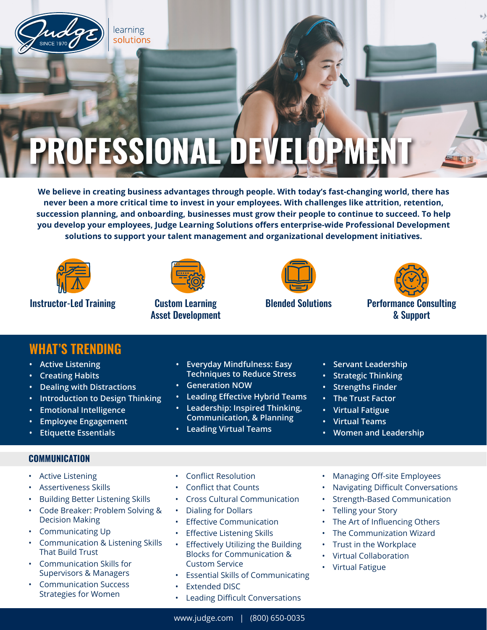

# **ROFESSIONAL DEV**

**We believe in creating business advantages through people. With today's fast-changing world, there has never been a more critical time to invest in your employees. With challenges like attrition, retention, succession planning, and onboarding, businesses must grow their people to continue to succeed. To help you develop your employees, Judge Learning Solutions offers enterprise-wide Professional Development solutions to support your talent management and organizational development initiatives.**



**Instructor-Led Training Custom Learning** 



Asset Development





Blended Solutions Performance Consulting & Support

|  | <b>WHAT'S TRENDING</b> |  |
|--|------------------------|--|
|  |                        |  |

- **• Active Listening**
- **• Creating Habits**
- **• Dealing with Distractions**
- **• Introduction to Design Thinking**
- **• Emotional Intelligence**
- **• Employee Engagement**
- **• Etiquette Essentials**

### **COMMUNICATION**

- Active Listening
- Assertiveness Skills
- Building Better Listening Skills
- Code Breaker: Problem Solving & Decision Making
- Communicating Up
- Communication & Listening Skills That Build Trust
- Communication Skills for Supervisors & Managers
- Communication Success Strategies for Women
- **• Everyday Mindfulness: Easy Techniques to Reduce Stress**
- **• Generation NOW**
- **• Leading Effective Hybrid Teams**
- **• Leadership: Inspired Thinking,**
- **Communication, & Planning • Leading Virtual Teams**
- **• Servant Leadership**
- **• Strategic Thinking**
- **• Strengths Finder**
- **• The Trust Factor**
- **• Virtual Fatigue**
- **• Virtual Teams**
- **• Women and Leadership**

- Conflict Resolution
- Conflict that Counts
- Cross Cultural Communication
- Dialing for Dollars
- **Effective Communication**
- **Effective Listening Skills**
- **Effectively Utilizing the Building** Blocks for Communication & Custom Service
- Essential Skills of Communicating
- **Extended DISC**
- Leading Difficult Conversations
- Managing Off-site Employees
- Navigating Difficult Conversations
- Strength-Based Communication
- Telling your Story
- The Art of Influencing Others
- The Communization Wizard
- Trust in the Workplace
- Virtual Collaboration
- Virtual Fatigue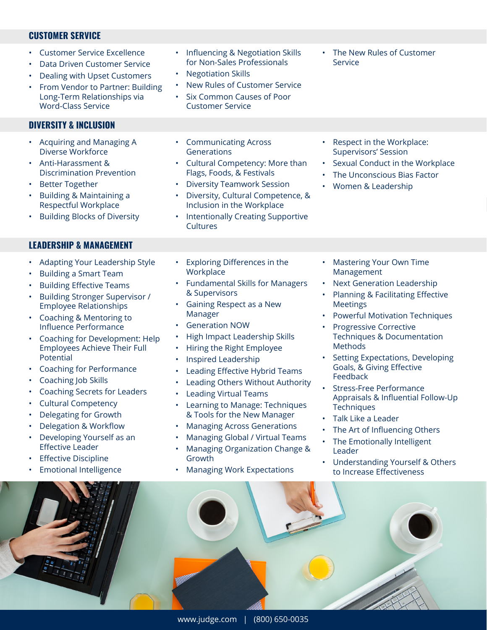#### **CUSTOMER SERVICE**

- Customer Service Excellence
- Data Driven Customer Service
- Dealing with Upset Customers
- From Vendor to Partner: Building Long-Term Relationships via Word-Class Service

## **DIVERSITY & INCLUSION**

- Acquiring and Managing A Diverse Workforce
- Anti-Harassment & Discrimination Prevention
- **Better Together**
- Building & Maintaining a Respectful Workplace
- Building Blocks of Diversity

#### **LEADERSHIP & MANAGEMENT**

- Adapting Your Leadership Style
- Building a Smart Team
- Building Effective Teams
- Building Stronger Supervisor / Employee Relationships
- Coaching & Mentoring to Influence Performance
- Coaching for Development: Help Employees Achieve Their Full Potential
- Coaching for Performance
- Coaching Job Skills
- Coaching Secrets for Leaders
- Cultural Competency
- Delegating for Growth
- Delegation & Workflow
- Developing Yourself as an Effective Leader
- **Effective Discipline**
- Emotional Intelligence



- Influencing & Negotiation Skills for Non-Sales Professionals
- Negotiation Skills
- New Rules of Customer Service
- Six Common Causes of Poor Customer Service
- The New Rules of Customer Service

• Respect in the Workplace: Supervisors' Session

• Women & Leadership

Sexual Conduct in the Workplace The Unconscious Bias Factor

- Communicating Across **Generations**
- Cultural Competency: More than Flags, Foods, & Festivals
- Diversity Teamwork Session
- Diversity, Cultural Competence, & Inclusion in the Workplace
- Intentionally Creating Supportive **Cultures**
- Exploring Differences in the **Workplace**
- Fundamental Skills for Managers & Supervisors
- Gaining Respect as a New Manager
- Generation NOW
- High Impact Leadership Skills
- Hiring the Right Employee
- Inspired Leadership
- Leading Effective Hybrid Teams
- Leading Others Without Authority
- Leading Virtual Teams
- Learning to Manage: Techniques & Tools for the New Manager
- Managing Across Generations
- Managing Global / Virtual Teams
- Managing Organization Change & Growth
- Managing Work Expectations
- Mastering Your Own Time Management
- Next Generation Leadership
- Planning & Facilitating Effective Meetings
- Powerful Motivation Techniques
- Progressive Corrective Techniques & Documentation Methods
- Setting Expectations, Developing Goals, & Giving Effective Feedback
- Stress-Free Performance Appraisals & Influential Follow-Up **Techniques**
- Talk Like a Leader
- The Art of Influencing Others
- The Emotionally Intelligent Leader
- Understanding Yourself & Others to Increase Effectiveness